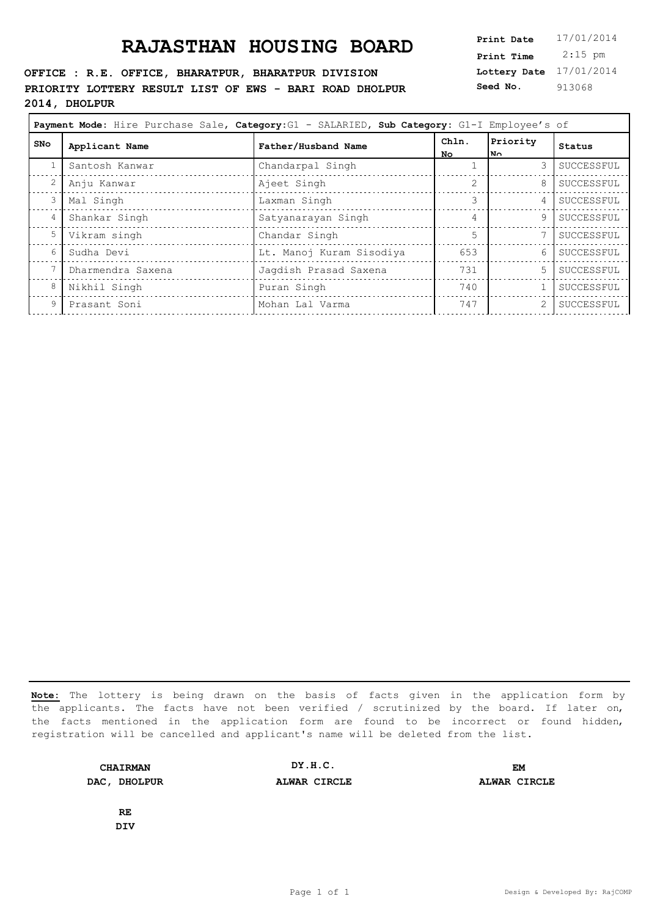**OFFICE : R.E. OFFICE, BHARATPUR, BHARATPUR DIVISION PRIORITY LOTTERY RESULT LIST OF EWS - BARI ROAD DHOLPUR 2014, DHOLPUR**

**Lottery Date** 17/01/2014 **Print Time** 2:15 pm **Seed No.** 913068

| Payment Mode: Hire Purchase Sale, Category: G1 - SALARIED, Sub Category: G1-I Employee's of |                   |                          |                |                 |            |
|---------------------------------------------------------------------------------------------|-------------------|--------------------------|----------------|-----------------|------------|
| SNo                                                                                         | Applicant Name    | Father/Husband Name      | Chln.<br>No.   | Priority<br>ا ™ | Status     |
|                                                                                             | Santosh Kanwar    | Chandarpal Singh         |                | 3               | SUCCESSFUL |
| $\overline{2}$                                                                              | Anju Kanwar       | Ajeet Singh              |                | 8               | SUCCESSFUL |
| 3 <sup>1</sup>                                                                              | Mal Singh         | Laxman Singh             |                | $4\overline{ }$ | SUCCESSFUL |
| 4                                                                                           | Shankar Singh     | Satyanarayan Singh       | 4              | 9               | SUCCESSFUL |
| 5                                                                                           | Vikram singh      | Chandar Singh            | $\overline{5}$ |                 | SUCCESSFUL |
| 6                                                                                           | Sudha Devi        | Lt. Manoj Kuram Sisodiya | 653            | 6               | SUCCESSFUL |
|                                                                                             | Dharmendra Saxena | Jaqdish Prasad Saxena    | 731            | 5               | SUCCESSFUL |
| 8                                                                                           | Nikhil Singh      | Puran Singh              | 740            |                 | SUCCESSFUL |
| 9                                                                                           | Prasant Soni      | Mohan Lal Varma          | 747            | 2               | SUCCESSFUL |
|                                                                                             |                   |                          |                |                 |            |

**Note:** The lottery is being drawn on the basis of facts given in the application form by the applicants. The facts have not been verified / scrutinized by the board. If later on, the facts mentioned in the application form are found to be incorrect or found hidden, registration will be cancelled and applicant's name will be deleted from the list.

**CHAIRMAN DAC, DHOLPUR ALWAR CIRCLE ALWAR CIRCLE DY.H.C. EM**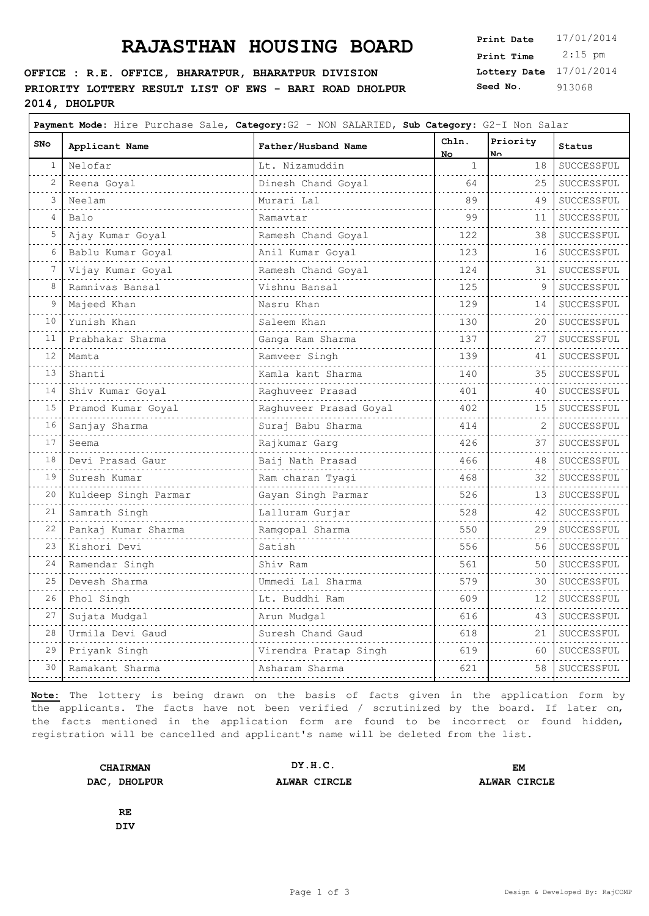#### **OFFICE : R.E. OFFICE, BHARATPUR, BHARATPUR DIVISION PRIORITY LOTTERY RESULT LIST OF EWS - BARI ROAD DHOLPUR 2014, DHOLPUR**

**Lottery Date** 17/01/2014 **Print Time** 2:15 pm **Seed No.** 913068

 $\overline{\phantom{0}}$ 

| SNo                        | Applicant Name       | Father/Husband Name    | Chln.<br>No. | Priority<br>$N_{\odot}$ | Status          |
|----------------------------|----------------------|------------------------|--------------|-------------------------|-----------------|
| 1                          | Nelofar              | Lt. Nizamuddin         | $\mathbf{1}$ | 18                      | SUCCESSFUL      |
| 2                          | Reena Goyal          | Dinesh Chand Goyal     | 64           | 25                      | SUCCESSFUL<br>. |
| 3                          | Neelam               | Murari Lal             | 89           | 49                      | SUCCESSFUL      |
| 4                          | Balo                 | Ramavtar               | 99           | 11                      | SUCCESSFUL      |
| 5                          | Ajay Kumar Goyal     | Ramesh Chand Goyal     | 122          | 38                      | SUCCESSFUL      |
| 6                          | Bablu Kumar Goyal    | Anil Kumar Goyal       | 123          | 16                      | SUCCESSFUL      |
| 7                          | Vijay Kumar Goyal    | Ramesh Chand Goyal     | 124          | 31                      | SUCCESSFUL      |
| 8                          | Ramnivas Bansal      | Vishnu Bansal          | 125          | 9                       | SUCCESSFUL      |
| 9                          | Majeed Khan          | Nasru Khan             | 129          | 14                      | SUCCESSFUL      |
| 10                         | Yunish Khan          | Saleem Khan            | .<br>130     | 20                      | SUCCESSFUL      |
| 11                         | Prabhakar Sharma     | Ganga Ram Sharma       | 137          | 27                      | SUCCESSFUL      |
| $\sim$ $\sim$ $\sim$<br>12 | Mamta                | Ramveer Singh          | 139          | 41                      | SUCCESSFUL      |
| $\sim$ $\sim$ $\sim$<br>13 | Shanti               | Kamla kant Sharma      | 140          | 35                      | SUCCESSFUL      |
| $\sim$ $\sim$ $\sim$<br>14 | Shiv Kumar Goyal     | Raghuveer Prasad       | 401          | 40                      | SUCCESSFUL      |
| $\sim$ $\sim$ $\sim$<br>15 | Pramod Kumar Goyal   | Raghuveer Prasad Goyal | 402          | 15                      | SUCCESSFUL      |
| $\sim$ $\sim$ $\sim$<br>16 | Sanjay Sharma        | Suraj Babu Sharma      | 414          | 2                       | SUCCESSFUL      |
| 17                         | Seema                | Rajkumar Garg          | 426          | 37                      | SUCCESSFUL      |
| والمحامر<br>18             | Devi Prasad Gaur     | Baij Nath Prasad       | 466          | 48                      | SUCCESSFUL      |
| 19                         | Suresh Kumar         | Ram charan Tyagi       | 468          | 32                      | SUCCESSFUL      |
| والمراب<br>20              | Kuldeep Singh Parmar | Gayan Singh Parmar     | 526          | 13                      | SUCCESSFUL      |
| 21                         | Samrath Singh        | Lalluram Gurjar        | 528          | 42                      | SUCCESSFUL      |
| 22<br>$\sim 10^{-1}$       | Pankaj Kumar Sharma  | Ramgopal Sharma        | 550          | 29                      | SUCCESSFUL      |
| 23<br>$\sim$ $\sim$ $\sim$ | Kishori Devi         | Satish                 | 556          | 56                      | SUCCESSFUL      |
| 24<br>$\sim$ $\sim$ $\sim$ | Ramendar Singh       | Shiv Ram               | 561          | 50                      | SUCCESSFUL      |
| 25                         | Devesh Sharma        | Ummedi Lal Sharma      | 579          | 30                      | SUCCESSFUL      |
| 26<br>$\sim$ $\sim$ $\sim$ | Phol Singh           | Lt. Buddhi Ram         | 609          | 12                      | SUCCESSFUL      |
| 27<br>$\sim$ $\sim$ $\sim$ | Sujata Mudgal        | Arun Mudgal            | 616          | 43                      | SUCCESSFUL      |
| 28                         | Urmila Devi Gaud     | Suresh Chand Gaud      | 618          | 21                      | SUCCESSFUL      |
| 29                         | Priyank Singh        | Virendra Pratap Singh  | 619          | 60                      | SUCCESSFUL      |
| 30                         | Ramakant Sharma      | Asharam Sharma         | 621          | 58                      | SUCCESSFUL      |

**Note:** The lottery is being drawn on the basis of facts given in the application form by the applicants. The facts have not been verified / scrutinized by the board. If later on, the facts mentioned in the application form are found to be incorrect or found hidden, registration will be cancelled and applicant's name will be deleted from the list.

**CHAIRMAN DAC, DHOLPUR ALWAR CIRCLE ALWAR CIRCLE DY.H.C. EM**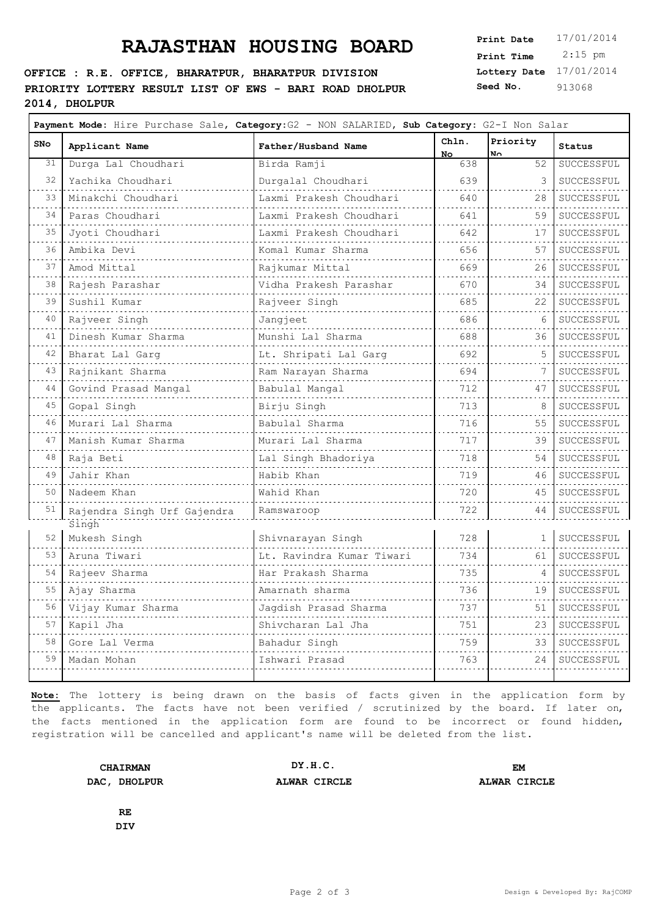#### **OFFICE : R.E. OFFICE, BHARATPUR, BHARATPUR DIVISION PRIORITY LOTTERY RESULT LIST OF EWS - BARI ROAD DHOLPUR 2014, DHOLPUR**

**Lottery Date** 17/01/2014 **Print Time** 2:15 pm **Seed No.** 913068

 $\overline{\phantom{0}}$ 

| SNo                        | Applicant Name              | Father/Husband Name       | Chln.<br>No. | Priority<br>N٨ | Status     |
|----------------------------|-----------------------------|---------------------------|--------------|----------------|------------|
| 31                         | Durga Lal Choudhari         | Birda Ramji               | 638          | 52             | SUCCESSFUL |
| 32                         | Yachika Choudhari           | Durgalal Choudhari        | 639          | 3              | SUCCESSFUL |
| 33                         | Minakchi Choudhari          | Laxmi Prakesh Choudhari   | 640          | 28             | SUCCESSFUL |
| 34                         | Paras Choudhari             | Laxmi Prakesh Choudhari   | 641          | 59             | SUCCESSFUL |
| 35                         | Jyoti Choudhari             | Laxmi Prakesh Choudhari   | 642          | 17             | SUCCESSFUL |
| 36                         | Ambika Devi                 | Komal Kumar Sharma        | 656          | 57             | SUCCESSFUL |
| 37                         | Amod Mittal                 | Rajkumar Mittal           | 669          | 26             | SUCCESSFUL |
| 38                         | Rajesh Parashar             | Vidha Prakesh Parashar    | 670          | 34             | SUCCESSFUL |
| 39                         | Sushil Kumar                | Rajveer Singh             | 685          | 22             | SUCCESSFUL |
| $\sim 10^{-1}$<br>40       | Rajveer Singh               | Jangjeet                  | 686          | 6              | SUCCESSFUL |
| 41                         | Dinesh Kumar Sharma         | Munshi Lal Sharma         | 688          | 36             | SUCCESSFUL |
| 42                         | Bharat Lal Garq             | Lt. Shripati Lal Garg     | 692          | 5              | SUCCESSFUL |
| 43                         | Rajnikant Sharma            | Ram Narayan Sharma        | 694          | 7              | SUCCESSFUL |
| 44                         | Govind Prasad Mangal        | Babulal Mangal            | 712          | 47             | SUCCESSFUL |
| 45                         | Gopal Singh                 | Birju Singh               | 713          | 8              | SUCCESSFUL |
| 46                         | Murari Lal Sharma           | Babulal Sharma            | 716          | 55             | SUCCESSFUL |
| 47                         | Manish Kumar Sharma         | Murari Lal Sharma         | 717          | 39             | SUCCESSFUL |
| 48                         | Raja Beti                   | Lal Singh Bhadoriya       | 718          | 54             | SUCCESSFUL |
| 49                         | Jahir Khan                  | Habib Khan                | 719          | 46             | SUCCESSFUL |
| والمحامر<br>50             | Nadeem Khan                 | Wahid Khan                | 720          | 45             | SUCCESSFUL |
| 51                         | Rajendra Singh Urf Gajendra | Ramswaroop                | 722          | 44             | SUCCESSFUL |
|                            | Singh                       |                           |              |                |            |
| 52                         | Mukesh Singh                | Shivnarayan Singh         | 728          | $\mathbf{1}$   | SUCCESSFUL |
| 53                         | Aruna Tiwari                | Lt. Ravindra Kumar Tiwari | 734          | 61             | SUCCESSFUL |
| 54                         | Rajeev Sharma               | Har Prakash Sharma        | 735<br>.     | 4              | SUCCESSFUL |
| 55                         | Ajay Sharma                 | Amarnath sharma           | 736          | 19             | SUCCESSFUL |
| 56                         | Vijay Kumar Sharma          | Jagdish Prasad Sharma     | 737          | 51             | SUCCESSFUL |
| 57<br>$\sim$ $\sim$ $\sim$ | Kapil Jha                   | Shivcharan Lal Jha        | 751          | 23             | SUCCESSFUL |
| 58                         | Gore Lal Verma              | Bahadur Singh             | 759          | 33             | SUCCESSFUL |
| 59                         | Madan Mohan                 | Ishwari Prasad            | 763          | 24             | SUCCESSFUL |

**Note:** The lottery is being drawn on the basis of facts given in the application form by the applicants. The facts have not been verified / scrutinized by the board. If later on, the facts mentioned in the application form are found to be incorrect or found hidden, registration will be cancelled and applicant's name will be deleted from the list.

**CHAIRMAN DAC, DHOLPUR ALWAR CIRCLE ALWAR CIRCLE DY.H.C. EM**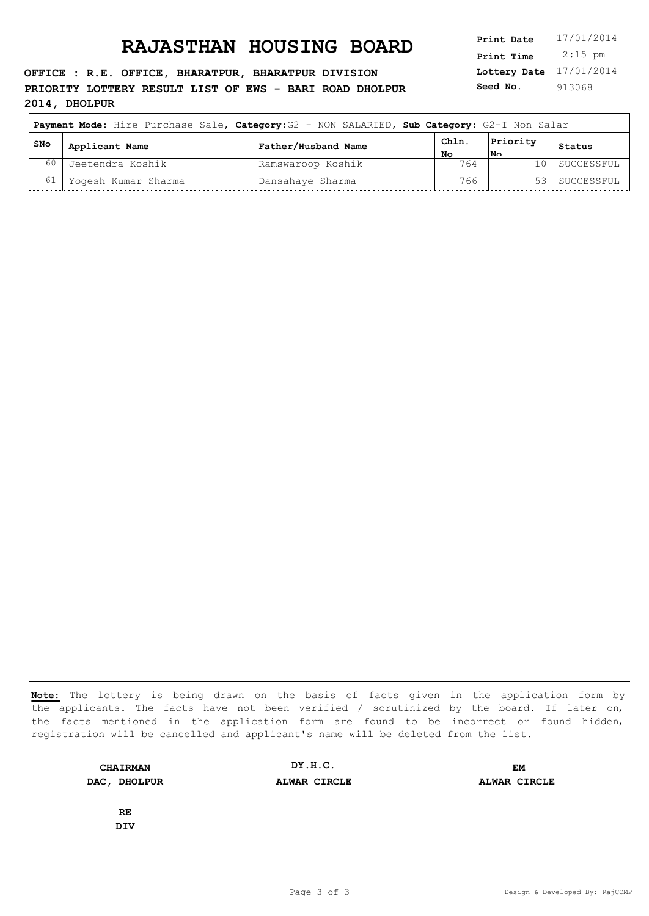**OFFICE : R.E. OFFICE, BHARATPUR, BHARATPUR DIVISION PRIORITY LOTTERY RESULT LIST OF EWS - BARI ROAD DHOLPUR 2014, DHOLPUR**

**Lottery Date** 17/01/2014 **Print Time** 2:15 pm **Seed No.** 913068

| Payment Mode: Hire Purchase Sale, Category: G2 - NON SALARIED, Sub Category: G2-I Non Salar |                     |                     |           |          |               |
|---------------------------------------------------------------------------------------------|---------------------|---------------------|-----------|----------|---------------|
| l SNo                                                                                       | Applicant Name      | Father/Husband Name | Chln.     | Priority | Status        |
| 60                                                                                          | Jeetendra Koshik    | Ramswaroop Koshik   | No<br>764 | l۷n      | 10 SUCCESSFUL |
| 61                                                                                          | Yogesh Kumar Sharma | Dansahaye Sharma    | 766       |          | 53 SUCCESSFUL |

**Note:** The lottery is being drawn on the basis of facts given in the application form by the applicants. The facts have not been verified / scrutinized by the board. If later on, the facts mentioned in the application form are found to be incorrect or found hidden, registration will be cancelled and applicant's name will be deleted from the list.

**CHAIRMAN DAC, DHOLPUR ALWAR CIRCLE ALWAR CIRCLE DY.H.C. EM**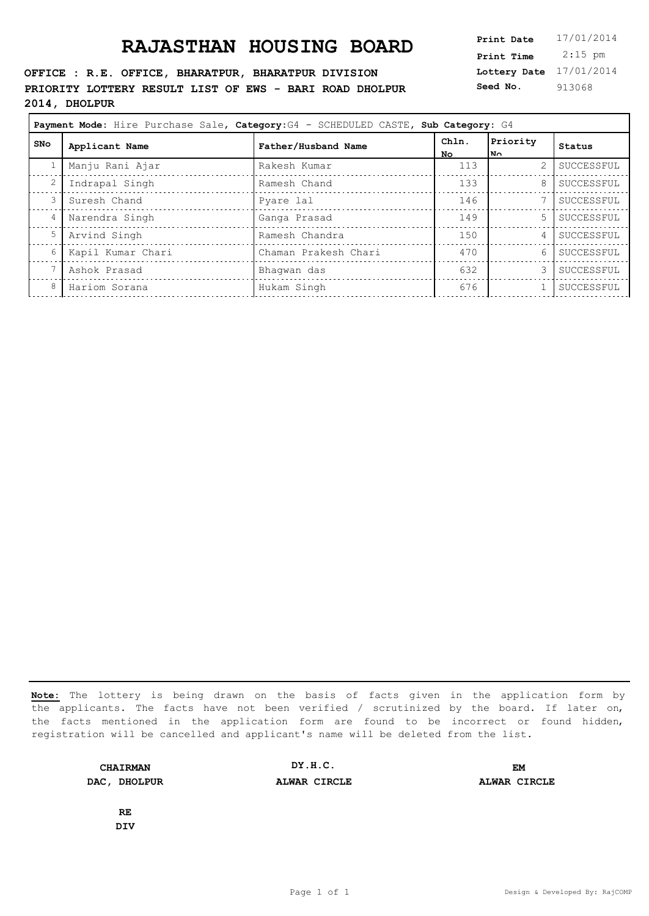**OFFICE : R.E. OFFICE, BHARATPUR, BHARATPUR DIVISION PRIORITY LOTTERY RESULT LIST OF EWS - BARI ROAD DHOLPUR 2014, DHOLPUR**

| Print Date        | 17/01/2014 |
|-------------------|------------|
| <b>Print Time</b> | $2:15$ pm  |
| Lottery Date      | 17/01/2014 |
| Seed No.          | 913068     |

| Payment Mode: Hire Purchase Sale, Category: G4 - SCHEDULED CASTE, Sub Category: G4 |                   |                      |              |                        |            |
|------------------------------------------------------------------------------------|-------------------|----------------------|--------------|------------------------|------------|
| SNO                                                                                | Applicant Name    | Father/Husband Name  | Chln.<br>No. | Priority<br>$N_{\cap}$ | Status     |
|                                                                                    | Manju Rani Ajar   | Rakesh Kumar         | 113          | 2                      | SUCCESSFUL |
|                                                                                    | Indrapal Singh    | Ramesh Chand         | 133          | 8                      | SUCCESSFUL |
|                                                                                    | Suresh Chand      | Pyare lal            | 146          |                        | SUCCESSFUL |
| 4                                                                                  | Narendra Singh    | Ganga Prasad         | 149          | $5 -$                  | SUCCESSFUL |
|                                                                                    | Arvind Singh      | Ramesh Chandra       | 150          | 4                      | SUCCESSFUL |
| 6                                                                                  | Kapil Kumar Chari | Chaman Prakesh Chari | 470          | 6                      | SUCCESSFUL |
|                                                                                    | Ashok Prasad      | Bhaqwan das          | 632          |                        | SUCCESSFUL |
| 8                                                                                  | Hariom Sorana     | Hukam Singh          | 676          |                        | SUCCESSFUL |
|                                                                                    |                   |                      |              |                        |            |

**Note:** The lottery is being drawn on the basis of facts given in the application form by the applicants. The facts have not been verified / scrutinized by the board. If later on, the facts mentioned in the application form are found to be incorrect or found hidden, registration will be cancelled and applicant's name will be deleted from the list.

**CHAIRMAN DAC, DHOLPUR ALWAR CIRCLE ALWAR CIRCLE DY.H.C. EM**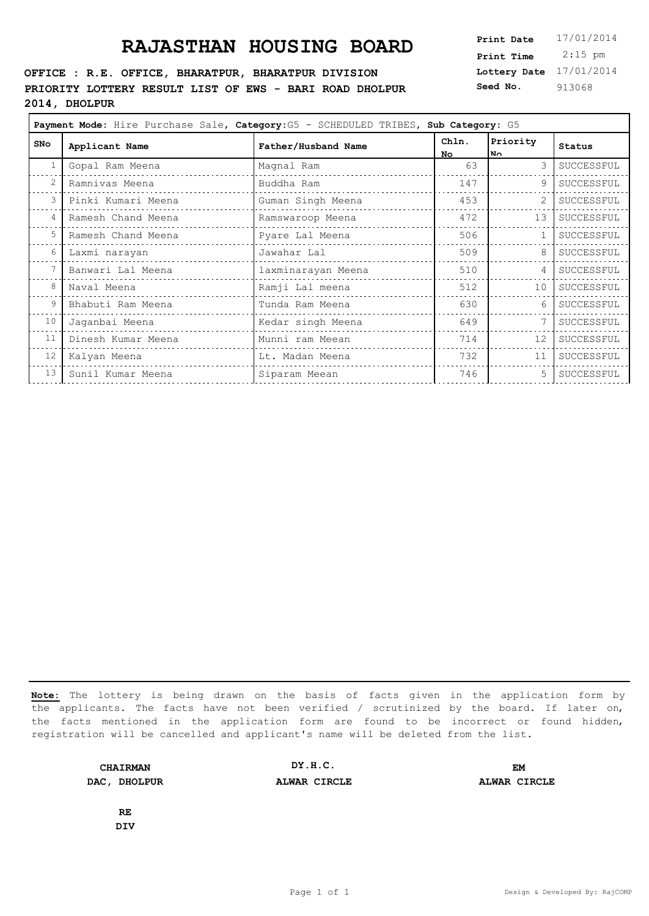#### **OFFICE : R.E. OFFICE, BHARATPUR, BHARATPUR DIVISION PRIORITY LOTTERY RESULT LIST OF EWS - BARI ROAD DHOLPUR 2014, DHOLPUR**

**Lottery Date** 17/01/2014 **Print Time** 2:15 pm **Seed No.** 913068

| Payment Mode: Hire Purchase Sale, Category: G5 - SCHEDULED TRIBES, Sub Category: G5 |                    |                     |              |                  |            |
|-------------------------------------------------------------------------------------|--------------------|---------------------|--------------|------------------|------------|
| <b>SNo</b>                                                                          | Applicant Name     | Father/Husband Name | Chln.<br>No. | Priority<br>l N∩ | Status     |
| 1                                                                                   | Gopal Ram Meena    | Magnal Ram          | 63           | 3                | SUCCESSFUL |
| 2                                                                                   | Ramnivas Meena     | Buddha Ram          | 147          | 9                | SUCCESSFUL |
| 3                                                                                   | Pinki Kumari Meena | Guman Singh Meena   | 453          |                  | SUCCESSFUL |
| 4                                                                                   | Ramesh Chand Meena | Ramswaroop Meena    | 472          | 13               | SUCCESSFUL |
| 5                                                                                   | Ramesh Chand Meena | Pyare Lal Meena     | 506          |                  | SUCCESSFUL |
| 6                                                                                   | Laxmi narayan      | Jawahar Lal         | 509          | 8                | SUCCESSFUL |
|                                                                                     | Banwari Lal Meena  | laxminarayan Meena  | 510          | 4                | SUCCESSFUL |
| 8                                                                                   | Naval Meena        | Ramji Lal meena     | 512          | 10               | SUCCESSFUL |
| 9                                                                                   | Bhabuti Ram Meena  | Tunda Ram Meena     | 630          | 6                | SUCCESSFUL |
| 10                                                                                  | Jaganbai Meena     | Kedar singh Meena   | 649          |                  | SUCCESSFUL |
| 11                                                                                  | Dinesh Kumar Meena | Munni ram Meean     | 714          | 12               | SUCCESSFUL |
| 12                                                                                  | Kalyan Meena       | Lt. Madan Meena     | 732          | 11               | SUCCESSFUL |
| 13                                                                                  | Sunil Kumar Meena  | Siparam Meean       | 746          | 5                | SUCCESSFUL |

**Note:** The lottery is being drawn on the basis of facts given in the application form by the applicants. The facts have not been verified / scrutinized by the board. If later on, the facts mentioned in the application form are found to be incorrect or found hidden, registration will be cancelled and applicant's name will be deleted from the list.

**CHAIRMAN DAC, DHOLPUR ALWAR CIRCLE ALWAR CIRCLE DY.H.C. EM**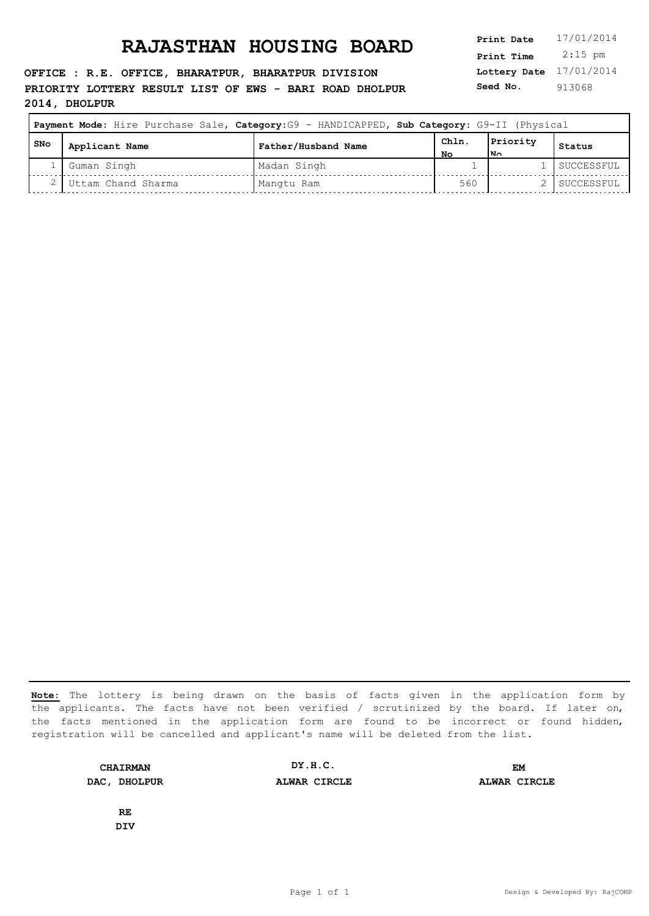**OFFICE : R.E. OFFICE, BHARATPUR, BHARATPUR DIVISION PRIORITY LOTTERY RESULT LIST OF EWS - BARI ROAD DHOLPUR 2014, DHOLPUR**

**Lottery Date** 17/01/2014 **Print Time** 2:15 pm **Seed No.** 913068

| Payment Mode: Hire Purchase Sale, Category:G9 - HANDICAPPED, Sub Category: G9-II (Physical |                    |                     |            |                 |            |
|--------------------------------------------------------------------------------------------|--------------------|---------------------|------------|-----------------|------------|
| SNo                                                                                        | Applicant Name     | Father/Husband Name | Chln<br>NΩ | Priority<br>l۷o | Status     |
|                                                                                            | Guman Singh        | Madan Singh         |            |                 | SUCCESSFUL |
|                                                                                            | Uttam Chand Sharma | Mangtu Ram          | 560        |                 | SUCCESSFUL |

**Note:** The lottery is being drawn on the basis of facts given in the application form by the applicants. The facts have not been verified / scrutinized by the board. If later on, the facts mentioned in the application form are found to be incorrect or found hidden, registration will be cancelled and applicant's name will be deleted from the list.

**CHAIRMAN DAC, DHOLPUR ALWAR CIRCLE ALWAR CIRCLE DY.H.C. EM**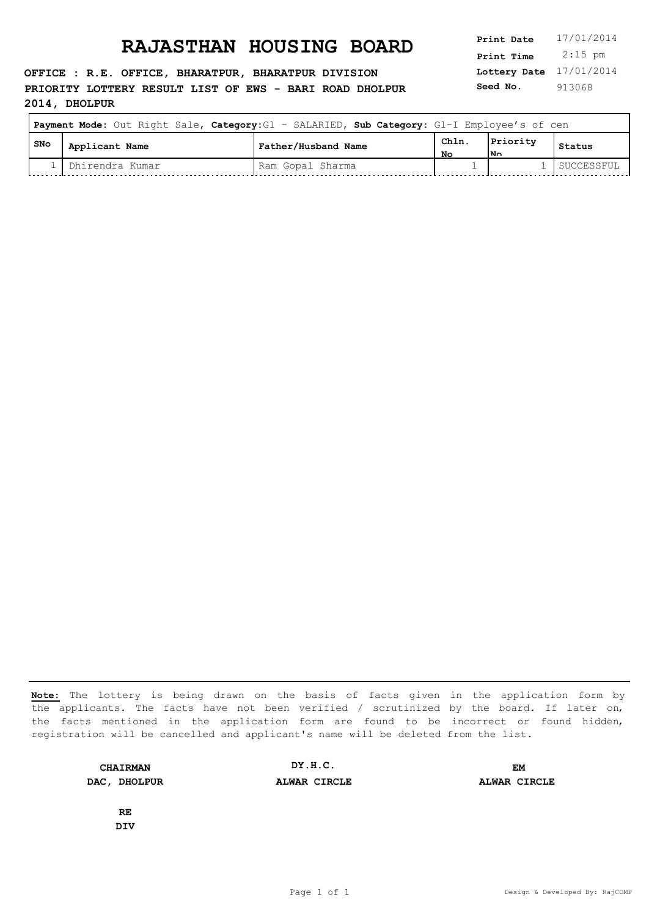**OFFICE : R.E. OFFICE, BHARATPUR, BHARATPUR DIVISION PRIORITY LOTTERY RESULT LIST OF EWS - BARI ROAD DHOLPUR 2014, DHOLPUR**

**Lottery Date** 17/01/2014 **Print Time** 2:15 pm **Seed No.** 913068

| Payment Mode: Out Right Sale, Category: G1 - SALARIED, Sub Category: G1-I Employee's of cen |                   |                     |            |                 |            |
|---------------------------------------------------------------------------------------------|-------------------|---------------------|------------|-----------------|------------|
| SNo                                                                                         | Applicant Name    | Father/Husband Name | Chln<br>NΟ | Priority<br>l۷o | Status     |
|                                                                                             | l Dhirendra Kumar | Ram Gopal Sharma    |            |                 | SUCCESSFUL |

**Note:** The lottery is being drawn on the basis of facts given in the application form by the applicants. The facts have not been verified / scrutinized by the board. If later on, the facts mentioned in the application form are found to be incorrect or found hidden, registration will be cancelled and applicant's name will be deleted from the list.

**CHAIRMAN DAC, DHOLPUR ALWAR CIRCLE ALWAR CIRCLE DY.H.C. EM**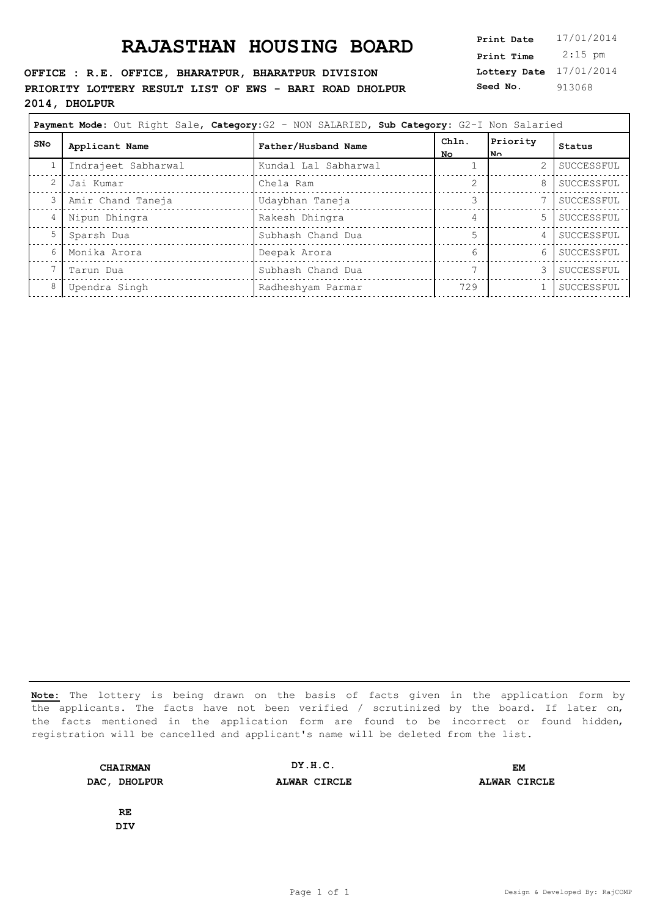**OFFICE : R.E. OFFICE, BHARATPUR, BHARATPUR DIVISION PRIORITY LOTTERY RESULT LIST OF EWS - BARI ROAD DHOLPUR 2014, DHOLPUR**

**Lottery Date** 17/01/2014 **Print Time** 2:15 pm **Seed No.** 913068

| Payment Mode: Out Right Sale, Category: G2 - NON SALARIED, Sub Category: G2-I Non Salaried |                     |                      |               |                  |            |  |
|--------------------------------------------------------------------------------------------|---------------------|----------------------|---------------|------------------|------------|--|
| SNo                                                                                        | Applicant Name      | Father/Husband Name  | Chln.<br>No.  | Priority<br>l No | Status     |  |
|                                                                                            | Indrajeet Sabharwal | Kundal Lal Sabharwal |               | 2                | SUCCESSFUL |  |
| 2                                                                                          | Jai Kumar           | Chela Ram            | $\mathcal{D}$ | 8                | SUCCESSFUL |  |
| 3                                                                                          | Amir Chand Taneja   | Udaybhan Taneja      |               |                  | SUCCESSFUL |  |
| 4                                                                                          | Nipun Dhingra       | Rakesh Dhingra       |               | 5                | SUCCESSFUL |  |
| 5                                                                                          | Sparsh Dua          | Subhash Chand Dua    | 5             | 4                | SUCCESSFUL |  |
| 6                                                                                          | Monika Arora        | Deepak Arora         | 6             | 6                | SUCCESSFUL |  |
|                                                                                            | Tarun Dua           | Subhash Chand Dua    |               |                  | SUCCESSFUL |  |
| 8                                                                                          | Upendra Singh       | Radheshyam Parmar    | 729           |                  | SUCCESSFUL |  |
|                                                                                            |                     |                      |               |                  |            |  |

**Note:** The lottery is being drawn on the basis of facts given in the application form by the applicants. The facts have not been verified / scrutinized by the board. If later on, the facts mentioned in the application form are found to be incorrect or found hidden, registration will be cancelled and applicant's name will be deleted from the list.

**CHAIRMAN DAC, DHOLPUR ALWAR CIRCLE ALWAR CIRCLE DY.H.C. EM**